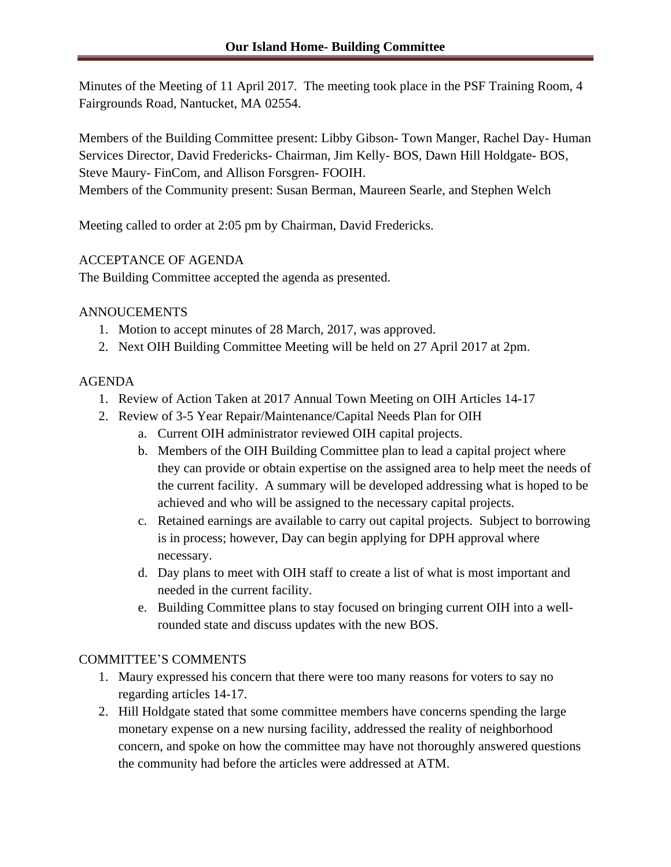Minutes of the Meeting of 11 April 2017. The meeting took place in the PSF Training Room, 4 Fairgrounds Road, Nantucket, MA 02554.

Members of the Building Committee present: Libby Gibson- Town Manger, Rachel Day- Human Services Director, David Fredericks- Chairman, Jim Kelly- BOS, Dawn Hill Holdgate- BOS, Steve Maury- FinCom, and Allison Forsgren- FOOIH. Members of the Community present: Susan Berman, Maureen Searle, and Stephen Welch

Meeting called to order at 2:05 pm by Chairman, David Fredericks.

# ACCEPTANCE OF AGENDA

The Building Committee accepted the agenda as presented.

### ANNOUCEMENTS

- 1. Motion to accept minutes of 28 March, 2017, was approved.
- 2. Next OIH Building Committee Meeting will be held on 27 April 2017 at 2pm.

# AGENDA

- 1. Review of Action Taken at 2017 Annual Town Meeting on OIH Articles 14-17
- 2. Review of 3-5 Year Repair/Maintenance/Capital Needs Plan for OIH
	- a. Current OIH administrator reviewed OIH capital projects.
	- b. Members of the OIH Building Committee plan to lead a capital project where they can provide or obtain expertise on the assigned area to help meet the needs of the current facility. A summary will be developed addressing what is hoped to be achieved and who will be assigned to the necessary capital projects.
	- c. Retained earnings are available to carry out capital projects. Subject to borrowing is in process; however, Day can begin applying for DPH approval where necessary.
	- d. Day plans to meet with OIH staff to create a list of what is most important and needed in the current facility.
	- e. Building Committee plans to stay focused on bringing current OIH into a wellrounded state and discuss updates with the new BOS.

# COMMITTEE'S COMMENTS

- 1. Maury expressed his concern that there were too many reasons for voters to say no regarding articles 14-17.
- 2. Hill Holdgate stated that some committee members have concerns spending the large monetary expense on a new nursing facility, addressed the reality of neighborhood concern, and spoke on how the committee may have not thoroughly answered questions the community had before the articles were addressed at ATM.